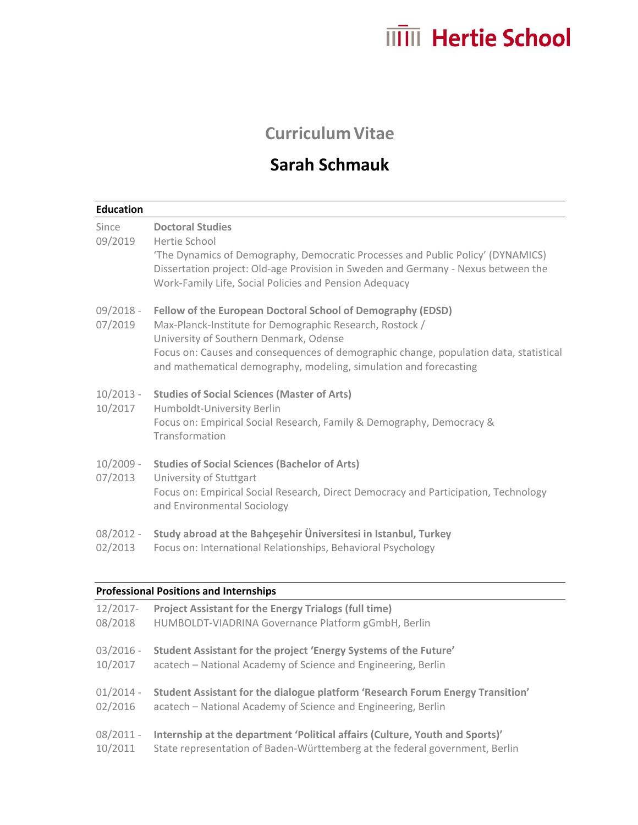## **ITTIII** Hertie School

## **Curriculum Vitae**

## **Sarah Schmauk**

| Since                  | <b>Doctoral Studies</b>                                                                                                                                                                                                                         |
|------------------------|-------------------------------------------------------------------------------------------------------------------------------------------------------------------------------------------------------------------------------------------------|
| 09/2019                | Hertie School<br>'The Dynamics of Demography, Democratic Processes and Public Policy' (DYNAMICS)<br>Dissertation project: Old-age Provision in Sweden and Germany - Nexus between the<br>Work-Family Life, Social Policies and Pension Adequacy |
| $09/2018 -$<br>07/2019 | Fellow of the European Doctoral School of Demography (EDSD)<br>Max-Planck-Institute for Demographic Research, Rostock /<br>University of Southern Denmark, Odense                                                                               |
|                        | Focus on: Causes and consequences of demographic change, population data, statistical<br>and mathematical demography, modeling, simulation and forecasting                                                                                      |
| $10/2013 -$<br>10/2017 | <b>Studies of Social Sciences (Master of Arts)</b>                                                                                                                                                                                              |
|                        | Humboldt-University Berlin<br>Focus on: Empirical Social Research, Family & Demography, Democracy &<br>Transformation                                                                                                                           |
| $10/2009 -$<br>07/2013 | <b>Studies of Social Sciences (Bachelor of Arts)</b>                                                                                                                                                                                            |
|                        | University of Stuttgart<br>Focus on: Empirical Social Research, Direct Democracy and Participation, Technology<br>and Environmental Sociology                                                                                                   |
| $08/2012 -$            | Study abroad at the Bahçeşehir Üniversitesi in Istanbul, Turkey                                                                                                                                                                                 |
| 02/2013                | Focus on: International Relationships, Behavioral Psychology                                                                                                                                                                                    |

| 12/2017-    | <b>Project Assistant for the Energy Trialogs (full time)</b>                   |
|-------------|--------------------------------------------------------------------------------|
| 08/2018     | HUMBOLDT-VIADRINA Governance Platform gGmbH, Berlin                            |
| $03/2016 -$ | Student Assistant for the project 'Energy Systems of the Future'               |
| 10/2017     | acatech – National Academy of Science and Engineering, Berlin                  |
| $01/2014 -$ | Student Assistant for the dialogue platform 'Research Forum Energy Transition' |
| 02/2016     | acatech – National Academy of Science and Engineering, Berlin                  |
| $08/2011 -$ | Internship at the department 'Political affairs (Culture, Youth and Sports)'   |
| 10/2011     | State representation of Baden-Württemberg at the federal government, Berlin    |